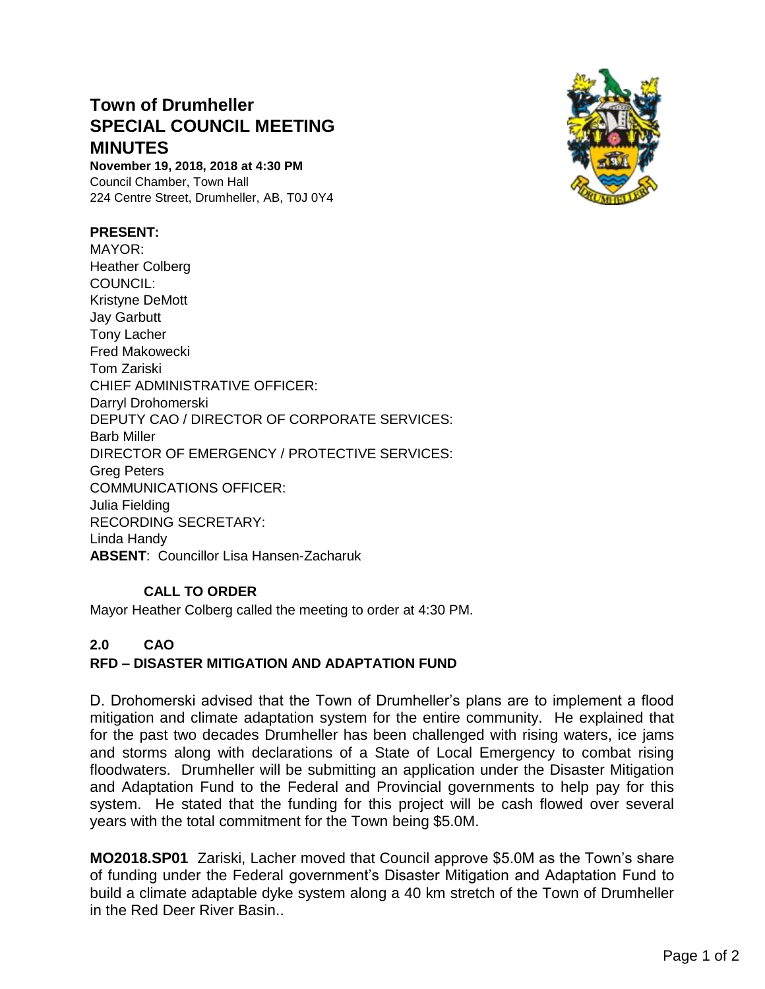# **Town of Drumheller SPECIAL COUNCIL MEETING MINUTES**

**November 19, 2018, 2018 at 4:30 PM** Council Chamber, Town Hall 224 Centre Street, Drumheller, AB, T0J 0Y4

#### **PRESENT:**

MAYOR: Heather Colberg COUNCIL: Kristyne DeMott Jay Garbutt Tony Lacher Fred Makowecki Tom Zariski CHIEF ADMINISTRATIVE OFFICER: Darryl Drohomerski DEPUTY CAO / DIRECTOR OF CORPORATE SERVICES: Barb Miller DIRECTOR OF EMERGENCY / PROTECTIVE SERVICES: Greg Peters COMMUNICATIONS OFFICER: Julia Fielding RECORDING SECRETARY: Linda Handy **ABSENT**: Councillor Lisa Hansen-Zacharuk

### **CALL TO ORDER**

Mayor Heather Colberg called the meeting to order at 4:30 PM.

## **2.0 CAO**

### **RFD – DISASTER MITIGATION AND ADAPTATION FUND**

D. Drohomerski advised that the Town of Drumheller's plans are to implement a flood mitigation and climate adaptation system for the entire community. He explained that for the past two decades Drumheller has been challenged with rising waters, ice jams and storms along with declarations of a State of Local Emergency to combat rising floodwaters. Drumheller will be submitting an application under the Disaster Mitigation and Adaptation Fund to the Federal and Provincial governments to help pay for this system. He stated that the funding for this project will be cash flowed over several years with the total commitment for the Town being \$5.0M.

**MO2018.SP01** Zariski, Lacher moved that Council approve \$5.0M as the Town's share of funding under the Federal government's Disaster Mitigation and Adaptation Fund to build a climate adaptable dyke system along a 40 km stretch of the Town of Drumheller in the Red Deer River Basin..